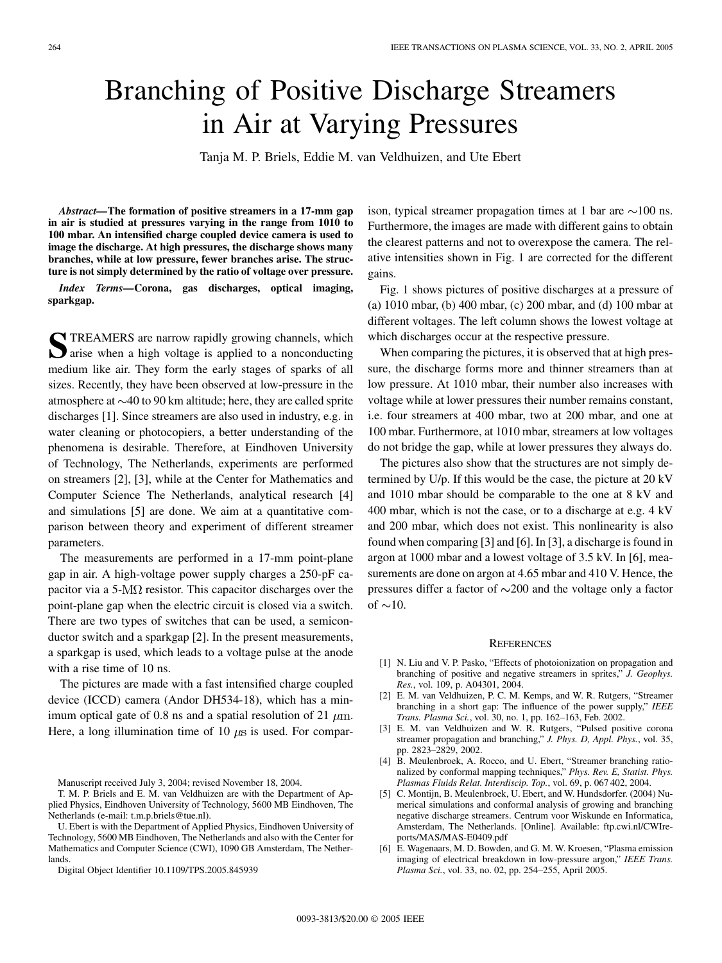## Branching of Positive Discharge Streamers in Air at Varying Pressures

Tanja M. P. Briels, Eddie M. van Veldhuizen, and Ute Ebert

*Abstract—***The formation of positive streamers in a 17-mm gap in air is studied at pressures varying in the range from 1010 to 100 mbar. An intensified charge coupled device camera is used to image the discharge. At high pressures, the discharge shows many branches, while at low pressure, fewer branches arise. The structure is not simply determined by the ratio of voltage over pressure.**

*Index Terms—***Corona, gas discharges, optical imaging, sparkgap.**

**S**TREAMERS are narrow rapidly growing channels, which arise when a high voltage is applied to a nonconducting medium like air. They form the early stages of sparks of all sizes. Recently, they have been observed at low-pressure in the atmosphere at  $\sim$ 40 to 90 km altitude; here, they are called sprite discharges [1]. Since streamers are also used in industry, e.g. in water cleaning or photocopiers, a better understanding of the phenomena is desirable. Therefore, at Eindhoven University of Technology, The Netherlands, experiments are performed on streamers [2], [3], while at the Center for Mathematics and Computer Science The Netherlands, analytical research [4] and simulations [5] are done. We aim at a quantitative comparison between theory and experiment of different streamer parameters.

The measurements are performed in a 17-mm point-plane gap in air. A high-voltage power supply charges a 250-pF capacitor via a 5- $\rm M\Omega$  resistor. This capacitor discharges over the point-plane gap when the electric circuit is closed via a switch. There are two types of switches that can be used, a semiconductor switch and a sparkgap [2]. In the present measurements, a sparkgap is used, which leads to a voltage pulse at the anode with a rise time of 10 ns.

The pictures are made with a fast intensified charge coupled device (ICCD) camera (Andor DH534-18), which has a minimum optical gate of 0.8 ns and a spatial resolution of 21  $\mu$ m. Here, a long illumination time of 10  $\mu$ s is used. For compar-

Manuscript received July 3, 2004; revised November 18, 2004.

T. M. P. Briels and E. M. van Veldhuizen are with the Department of Applied Physics, Eindhoven University of Technology, 5600 MB Eindhoven, The Netherlands (e-mail: t.m.p.briels@tue.nl).

U. Ebert is with the Department of Applied Physics, Eindhoven University of Technology, 5600 MB Eindhoven, The Netherlands and also with the Center for Mathematics and Computer Science (CWI), 1090 GB Amsterdam, The Nether**lands** 

Digital Object Identifier 10.1109/TPS.2005.845939

ison, typical streamer propagation times at 1 bar are  $\sim$ 100 ns. Furthermore, the images are made with different gains to obtain the clearest patterns and not to overexpose the camera. The relative intensities shown in Fig. 1 are corrected for the different gains.

Fig. 1 shows pictures of positive discharges at a pressure of (a) 1010 mbar, (b) 400 mbar, (c) 200 mbar, and (d) 100 mbar at different voltages. The left column shows the lowest voltage at which discharges occur at the respective pressure.

When comparing the pictures, it is observed that at high pressure, the discharge forms more and thinner streamers than at low pressure. At 1010 mbar, their number also increases with voltage while at lower pressures their number remains constant, i.e. four streamers at 400 mbar, two at 200 mbar, and one at 100 mbar. Furthermore, at 1010 mbar, streamers at low voltages do not bridge the gap, while at lower pressures they always do.

The pictures also show that the structures are not simply determined by U/p. If this would be the case, the picture at 20 kV and 1010 mbar should be comparable to the one at 8 kV and 400 mbar, which is not the case, or to a discharge at e.g. 4 kV and 200 mbar, which does not exist. This nonlinearity is also found when comparing [3] and [6]. In [3], a discharge is found in argon at 1000 mbar and a lowest voltage of 3.5 kV. In [6], measurements are done on argon at 4.65 mbar and 410 V. Hence, the pressures differ a factor of  $\sim$ 200 and the voltage only a factor of  $\sim$ 10.

## **REFERENCES**

- [1] N. Liu and V. P. Pasko, "Effects of photoionization on propagation and branching of positive and negative streamers in sprites," *J. Geophys. Res.*, vol. 109, p. A04301, 2004.
- [2] E. M. van Veldhuizen, P. C. M. Kemps, and W. R. Rutgers, "Streamer branching in a short gap: The influence of the power supply," *IEEE Trans. Plasma Sci.*, vol. 30, no. 1, pp. 162–163, Feb. 2002.
- [3] E. M. van Veldhuizen and W. R. Rutgers, "Pulsed positive corona streamer propagation and branching," *J. Phys. D, Appl. Phys.*, vol. 35, pp. 2823–2829, 2002.
- [4] B. Meulenbroek, A. Rocco, and U. Ebert, "Streamer branching rationalized by conformal mapping techniques," *Phys. Rev. E, Statist. Phys. Plasmas Fluids Relat. Interdiscip. Top.*, vol. 69, p. 067 402, 2004.
- [5] C. Montijn, B. Meulenbroek, U. Ebert, and W. Hundsdorfer. (2004) Numerical simulations and conformal analysis of growing and branching negative discharge streamers. Centrum voor Wiskunde en Informatica, Amsterdam, The Netherlands. [Online]. Available: ftp.cwi.nl/CWIreports/MAS/MAS-E0409.pdf
- [6] E. Wagenaars, M. D. Bowden, and G. M. W. Kroesen, "Plasma emission imaging of electrical breakdown in low-pressure argon," *IEEE Trans. Plasma Sci.*, vol. 33, no. 02, pp. 254–255, April 2005.